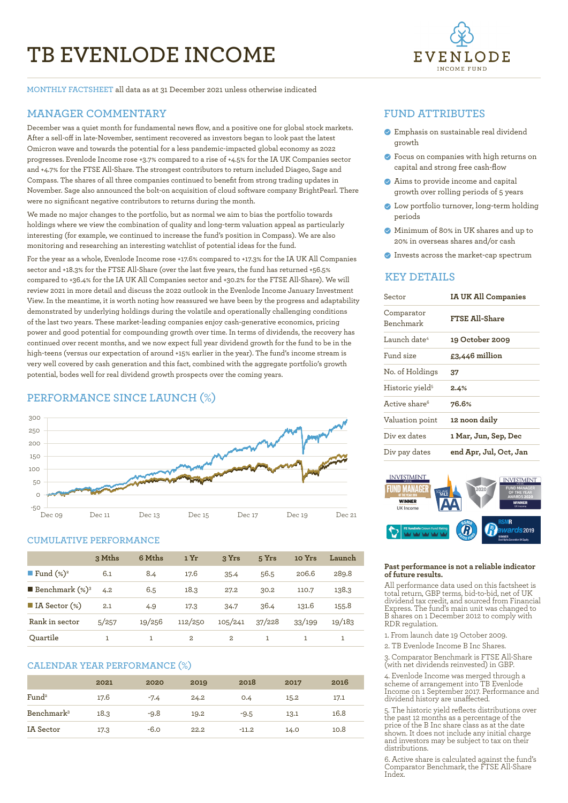# **TB EVENLODE INCOME**



**MONTHLY FACTSHEET** all data as at 31 December 2021 unless otherwise indicated

# **MANAGER COMMENTARY**

December was a quiet month for fundamental news flow, and a positive one for global stock markets. After a sell-off in late-November, sentiment recovered as investors began to look past the latest Omicron wave and towards the potential for a less pandemic-impacted global economy as 2022 progresses. Evenlode Income rose +3.7% compared to a rise of +4.5% for the IA UK Companies sector and +4.7% for the FTSE All-Share. The strongest contributors to return included Diageo, Sage and Compass. The shares of all three companies continued to benefit from strong trading updates in November. Sage also announced the bolt-on acquisition of cloud software company BrightPearl. There were no significant negative contributors to returns during the month.

We made no major changes to the portfolio, but as normal we aim to bias the portfolio towards holdings where we view the combination of quality and long-term valuation appeal as particularly interesting (for example, we continued to increase the fund's position in Compass). We are also monitoring and researching an interesting watchlist of potential ideas for the fund.

For the year as a whole, Evenlode Income rose +17.6% compared to +17.3% for the IA UK All Companies sector and +18.3% for the FTSE All-Share (over the last five years, the fund has returned +56.5% compared to +36.4% for the IA UK All Companies sector and +30.2% for the FTSE All-Share). We will review 2021 in more detail and discuss the 2022 outlook in the Evenlode Income January Investment View. In the meantime, it is worth noting how reassured we have been by the progress and adaptability demonstrated by underlying holdings during the volatile and operationally challenging conditions of the last two years. These market-leading companies enjoy cash-generative economics, pricing power and good potential for compounding growth over time. In terms of dividends, the recovery has continued over recent months, and we now expect full year dividend growth for the fund to be in the high-teens (versus our expectation of around +15% earlier in the year). The fund's income stream is very well covered by cash generation and this fact, combined with the aggregate portfolio's growth potential, bodes well for real dividend growth prospects over the coming years. 

# **PERFORMANCE SINCE LAUNCH (%)**



#### **CUMULATIVE PERFORMANCE**

|                                 | 3 Mths | 6 Mths | 1 Yr    | 3 Yrs          | 5 Yrs  | 10 Yrs | Launch |
|---------------------------------|--------|--------|---------|----------------|--------|--------|--------|
| <b>Fund</b> $(\%)^2$            | 6.1    | 8.4    | 17.6    | 35.4           | 56.5   | 206.6  | 289.8  |
| <b>Benchmark</b> $(\%)^3$       | 4.2    | 6.5    | 18.3    | 27.2           | 30.2   | 110.7  | 138.3  |
| $\blacksquare$ IA Sector $(\%)$ | 2.1    | 4.9    | 17.3    | 34.7           | 36.4   | 131.6  | 155.8  |
| Rank in sector                  | 5/257  | 19/256 | 112/250 | 105/241        | 37/228 | 33/199 | 19/183 |
| Ouartile                        |        |        | 2       | $\overline{2}$ | 1      |        |        |

#### **CALENDAR YEAR PERFORMANCE (%)**

|                        | 2021 | 2020   | 2019 | 2018    | 2017 | 2016 |
|------------------------|------|--------|------|---------|------|------|
| Fund <sup>2</sup>      | 17.6 | $-7.4$ | 24.2 | 0.4     | 15.2 | 17.1 |
| Benchmark <sup>3</sup> | 18.3 | $-9.8$ | 19.2 | $-9.5$  | 13.1 | 16.8 |
| <b>IA</b> Sector       | 17.3 | $-6.0$ | 22.2 | $-11.2$ | 14.0 | 10.8 |

## **FUND ATTRIBUTES**

- Emphasis on sustainable real dividend growth
- Focus on companies with high returns on capital and strong free cash-flow
- Aims to provide income and capital growth over rolling periods of 5 years
- Low portfolio turnover, long-term holding periods
- Minimum of 80% in UK shares and up to 20% in overseas shares and/or cash
- Invests across the market-cap spectrum

# **KEY DETAILS**

| Sector                         | <b>IA UK All Companies</b> |  |  |
|--------------------------------|----------------------------|--|--|
| Comparator<br><b>Benchmark</b> | <b>FTSE All-Share</b>      |  |  |
| Launch date <sup>4</sup>       | 19 October 2009            |  |  |
| Fund size                      | £3,446 million             |  |  |
| No. of Holdings                | 37                         |  |  |
| Historic yield <sup>5</sup>    | 2.4%                       |  |  |
| Active share <sup>6</sup>      | 76.6%                      |  |  |
| Valuation point                | 12 noon daily              |  |  |
| Div ex dates                   | 1 Mar, Jun, Sep, Dec       |  |  |
| Div pay dates                  | end Apr, Jul, Oct, Jan     |  |  |



#### **Past performance is not a reliable indicator of future results.**

All performance data used on this factsheet is total return, GBP terms, bid-to-bid, net of UK dividend tax credit, and sourced from Financial Express. The fund's main unit was changed to B shares on 1 December 2012 to comply with RDR regulation.

- 1. From launch date 19 October 2009.
- 2. TB Evenlode Income B Inc Shares.

3. Comparator Benchmark is FTSE All-Share (with net dividends reinvested) in GBP.

4. Evenlode Income was merged through a scheme of arrangement into TB Evenlode Income on 1 September 2017. Performance and dividend history are unaffected.

5. The historic yield reflects distributions over the past 12 months as a percentage of the price of the B Inc share class as at the date shown. It does not include any initial charge and investors may be subject to tax on their distributions.

6. Active share is calculated against the fund's Comparator Benchmark, the FTSE All-Share Index.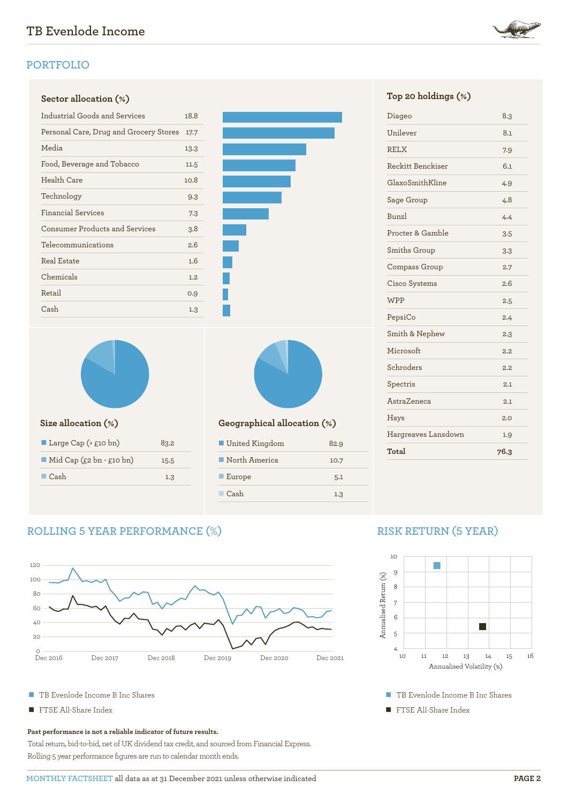# **PORTFOLIO**

# **Sector allocation (%) Top 20 holdings (%)**

| Industrial Goods and Services          |      |  |
|----------------------------------------|------|--|
| Personal Care, Drug and Grocery Stores | 17.7 |  |
| Media                                  | 13.3 |  |
| Food, Beverage and Tobacco             | 11.5 |  |
| Health Care                            | 10.8 |  |
| Technology                             | 9.3  |  |
| <b>Financial Services</b>              | 7.3  |  |
| <b>Consumer Products and Services</b>  | 3.8  |  |
| Telecommunications                     | 2.6  |  |
| Real Estate                            | 1.6  |  |
| Chemicals                              | 1.2  |  |
| Retail                                 | 0.9  |  |
| Cash                                   | 1.3  |  |





| Large Cap $($ £10 bn)                   | 83.2 |
|-----------------------------------------|------|
| $\blacksquare$ Mid Cap (£2 bn - £10 bn) | 15.5 |
| $\Box$ Cash                             | 1.3  |
|                                         |      |



## **Size allocation (%) Geographical allocation (%)**

| ■ United Kingdom      | 82.9 |  |
|-----------------------|------|--|
| North America         | 10.7 |  |
| $\blacksquare$ Europe | 5.1  |  |
| Cash                  | 1.3  |  |

# Unilever 8.1 RELX 7.9 Reckitt Benckiser 6.1 GlaxoSmithKline 4.9 Sage Group 4.8 Bunzl 4.4 Procter & Gamble 3.5 Smiths Group 3.3 Compass Group 2.7 Cisco Systems 2.6 WPP  $2.5$ PepsiCo 2.4 Smith & Nephew 2.3 Microsoft 2.2 Schroders 2.2 Spectris 2.1 AstraZeneca 2.1 Hays 2.0 Hargreaves Lansdown 1.9 **Total 76.3**

Diageo 8.3

# **ROLLING 5 YEAR PERFORMANCE (%)**



- TB Evenlode Income B Inc Shares
- FTSE All-Share Index

#### **Past performance is not a reliable indicator of future results.**

Total return, bid-to-bid, net of UK dividend tax credit, and sourced from Financial Express. Rolling 5 year performance figures are run to calendar month ends.

# **RISK RETURN (5 YEAR)**



■ TB Evenlode Income B Inc Shares

■ FTSE All-Share Index



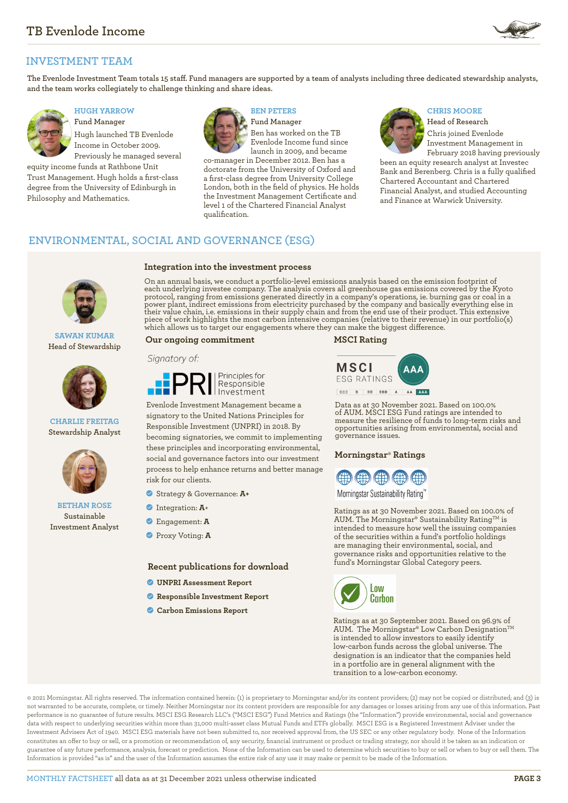

# **INVESTMENT TEAM**

**The Evenlode Investment Team totals 15 staff. Fund managers are supported by a team of analysts including three dedicated stewardship analysts, and the team works collegiately to challenge thinking and share ideas.**



# **HUGH YARROW**

**Fund Manager** Hugh launched TB Evenlode Income in October 2009. Previously he managed several

equity income funds at Rathbone Unit Trust Management. Hugh holds a first-class degree from the University of Edinburgh in Philosophy and Mathematics.



### **BEN PETERS**

**Fund Manager** Ben has worked on the TB Evenlode Income fund since launch in 2009, and became

co-manager in December 2012. Ben has a doctorate from the University of Oxford and a first-class degree from University College London, both in the field of physics. He holds the Investment Management Certificate and level 1 of the Chartered Financial Analyst qualification.

#### **CHRIS MOORE**

**Head of Research** Chris joined Evenlode Investment Management in February 2018 having previously

been an equity research analyst at Investec Bank and Berenberg. Chris is a fully qualified Chartered Accountant and Chartered Financial Analyst, and studied Accounting and Finance at Warwick University.

# **ENVIRONMENTAL, SOCIAL AND GOVERNANCE (ESG)**



#### **SAWAN KUMAR Head of Stewardship**



**CHARLIE FREITAG Stewardship Analyst** 



**BETHAN ROSE Sustainable Investment Analyst**

#### **Integration into the investment process**

On an annual basis, we conduct a portfolio-level emissions analysis based on the emission footprint of each underlying investee company. The analysis covers all greenhouse gas emissions covered by the Kyoto protocol, ranging from emissions generated directly in a company's operations, ie. burning gas or coal in a power plant, indirect emissions from electricity purchased by the company and basically everything else in their value chain, i.e. emissions in their supply chain and from the end use of their product. This extensive piece of work highlights the most carbon intensive companies (relative to their revenue) in our portfolio(s) which allows us to target our engagements where they can make the biggest difference.

#### **Our ongoing commitment MSCI Rating**

#### Signatory of:



Evenlode Investment Management became a signatory to the United Nations Principles for Responsible Investment (UNPRI) in 2018. By becoming signatories, we commit to implementing these principles and incorporating environmental, social and governance factors into our investment process to help enhance returns and better manage risk for our clients.

- Strategy & Governance: **A+**
- Integration: **A**+
- Engagement: **A**
- Proxy Voting: **A**

#### **Recent publications for download**

- **[UNPRI Assessment Report](https://evenlodeinvestment.com/resources/stewardship-assets/2020-Assessment-Report.pdf)**
- **[Responsible Investment Report](https://evenlodeinvestment.com/resources/stewardship-assets/Evenlode-Annual-RI-Report-2020-Final.pdf)**
- **[Carbon Emissions Report](https://evenlodeinvestment.com/resources/stewardship-assets/Evenlode-Portfolio-Carbon-Emissions-Report-2021.pdf)**



Data as at 30 November 2021. Based on 100.0% of AUM. MSCI ESG Fund ratings are intended to measure the resilience of funds to long-term risks and opportunities arising from environmental, social and governance issues.

#### **Morningstar**® **Ratings**



Morningstar Sustainability Rating

Ratings as at 30 November 2021. Based on 100.0% of AUM. The Morningstar® Sustainability Rating<sup>TM</sup> is intended to measure how well the issuing companies of the securities within a fund's portfolio holdings are managing their environmental, social, and governance risks and opportunities relative to the fund's Morningstar Global Category peers.



Ratings as at 30 September 2021. Based on 96.9% of AUM. The Morningstar® Low Carbon Designation™ is intended to allow investors to easily identify low-carbon funds across the global universe. The designation is an indicator that the companies held in a portfolio are in general alignment with the transition to a low-carbon economy.

© 2021 Morningstar. All rights reserved. The information contained herein: (1) is proprietary to Morningstar and/or its content providers; (2) may not be copied or distributed; and (3) is not warranted to be accurate, complete, or timely. Neither Morningstar nor its content providers are responsible for any damages or losses arising from any use of this information. Past performance is no guarantee of future results. MSCI ESG Research LLC's ("MSCI ESG") Fund Metrics and Ratings (the "Information") provide environmental, social and governance data with respect to underlying securities within more than 31,000 multi-asset class Mutual Funds and ETFs globally. MSCI ESG is a Registered Investment Adviser under the Investment Advisers Act of 1940. MSCI ESG materials have not been submitted to, nor received approval from, the US SEC or any other regulatory body. None of the Information constitutes an offer to buy or sell, or a promotion or recommendation of, any security, financial instrument or product or trading strategy, nor should it be taken as an indication or guarantee of any future performance, analysis, forecast or prediction. None of the Information can be used to determine which securities to buy or sell or when to buy or sell them. The Information is provided "as is" and the user of the Information assumes the entire risk of any use it may make or permit to be made of the Information.